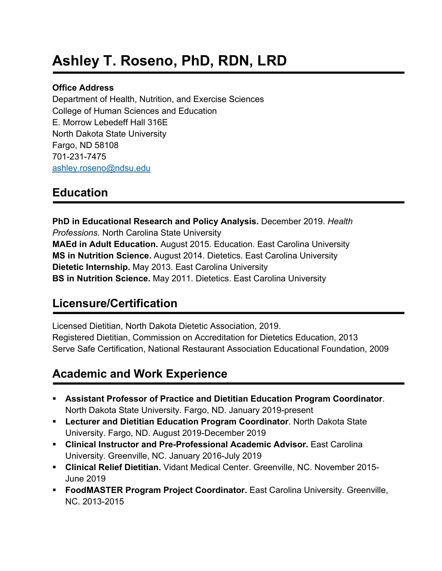# **Ashley T. Roseno, PhD, RDN, LRD**

#### **Office Address**

Department of Health, Nutrition, and Exercise Sciences College of Human Sciences and Education E. Morrow Lebedeff Hall 316E North Dakota State University Fargo, ND 58108 701-231-7475 ashley.roseno@ndsu.edu

# **Education**

**PhD in Educational Research and Policy Analysis.** December 2019. *Health Professions.* North Carolina State University **MAEd in Adult Education.** August 2015. Education. East Carolina University **MS in Nutrition Science.** August 2014. Dietetics. East Carolina University **Dietetic Internship.** May 2013. East Carolina University **BS in Nutrition Science.** May 2011. Dietetics. East Carolina University

# **Licensure/Certification**

Licensed Dietitian, North Dakota Dietetic Association, 2019. Registered Dietitian, Commission on Accreditation for Dietetics Education, 2013 Serve Safe Certification, National Restaurant Association Educational Foundation, 2009

# **Academic and Work Experience**

- § **Assistant Professor of Practice and Dietitian Education Program Coordinator**. North Dakota State University. Fargo, ND. January 2019-present
- § **Lecturer and Dietitian Education Program Coordinator**. North Dakota State University. Fargo, ND. August 2019-December 2019
- § **Clinical Instructor and Pre-Professional Academic Advisor.** East Carolina University. Greenville, NC. January 2016-July 2019
- § **Clinical Relief Dietitian.** Vidant Medical Center. Greenville, NC. November 2015- June 2019
- **FoodMASTER Program Project Coordinator.** East Carolina University. Greenville, NC. 2013-2015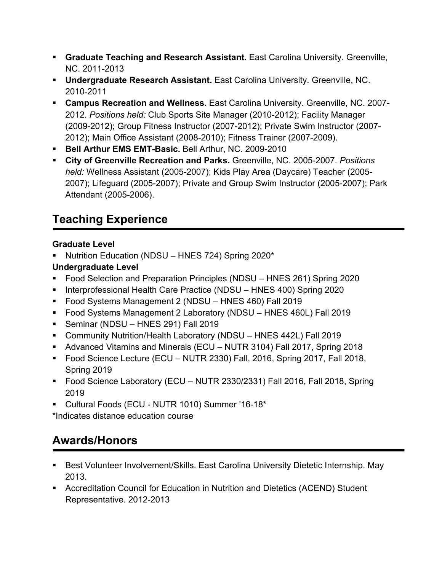- **Graduate Teaching and Research Assistant.** East Carolina University. Greenville, NC. 2011-2013
- **Undergraduate Research Assistant.** East Carolina University. Greenville, NC. 2010-2011
- § **Campus Recreation and Wellness.** East Carolina University. Greenville, NC. 2007- 2012. *Positions held:* Club Sports Site Manager (2010-2012); Facility Manager (2009-2012); Group Fitness Instructor (2007-2012); Private Swim Instructor (2007- 2012); Main Office Assistant (2008-2010); Fitness Trainer (2007-2009).
- § **Bell Arthur EMS EMT-Basic.** Bell Arthur, NC. 2009-2010
- § **City of Greenville Recreation and Parks.** Greenville, NC. 2005-2007. *Positions held:* Wellness Assistant (2005-2007); Kids Play Area (Daycare) Teacher (2005- 2007); Lifeguard (2005-2007); Private and Group Swim Instructor (2005-2007); Park Attendant (2005-2006).

# **Teaching Experience**

## **Graduate Level**

§ Nutrition Education (NDSU – HNES 724) Spring 2020\*

## **Undergraduate Level**

- Food Selection and Preparation Principles (NDSU HNES 261) Spring 2020
- Interprofessional Health Care Practice (NDSU HNES 400) Spring 2020
- § Food Systems Management 2 (NDSU HNES 460) Fall 2019
- Food Systems Management 2 Laboratory (NDSU HNES 460L) Fall 2019
- § Seminar (NDSU HNES 291) Fall 2019
- § Community Nutrition/Health Laboratory (NDSU HNES 442L) Fall 2019
- Advanced Vitamins and Minerals (ECU NUTR 3104) Fall 2017, Spring 2018
- § Food Science Lecture (ECU NUTR 2330) Fall, 2016, Spring 2017, Fall 2018, Spring 2019
- Food Science Laboratory (ECU NUTR 2330/2331) Fall 2016, Fall 2018, Spring 2019
- § Cultural Foods (ECU NUTR 1010) Summer '16-18\*

\*Indicates distance education course

# **Awards/Honors**

- Best Volunteer Involvement/Skills. East Carolina University Dietetic Internship. May 2013.
- Accreditation Council for Education in Nutrition and Dietetics (ACEND) Student Representative. 2012-2013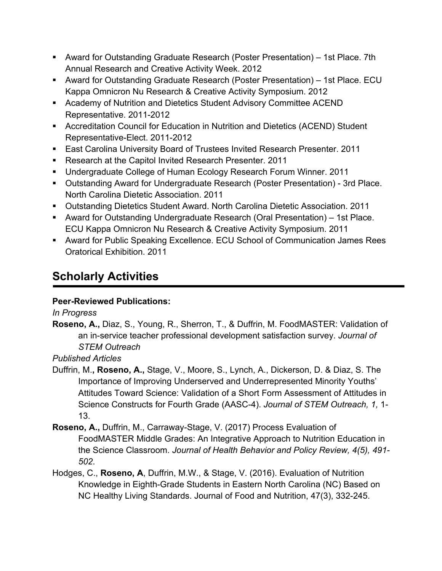- Award for Outstanding Graduate Research (Poster Presentation) 1st Place. 7th Annual Research and Creative Activity Week. 2012
- § Award for Outstanding Graduate Research (Poster Presentation) 1st Place. ECU Kappa Omnicron Nu Research & Creative Activity Symposium. 2012
- Academy of Nutrition and Dietetics Student Advisory Committee ACEND Representative. 2011-2012
- Accreditation Council for Education in Nutrition and Dietetics (ACEND) Student Representative-Elect. 2011-2012
- East Carolina University Board of Trustees Invited Research Presenter. 2011
- Research at the Capitol Invited Research Presenter. 2011
- § Undergraduate College of Human Ecology Research Forum Winner. 2011
- Outstanding Award for Undergraduate Research (Poster Presentation) 3rd Place. North Carolina Dietetic Association. 2011
- Outstanding Dietetics Student Award. North Carolina Dietetic Association. 2011
- Award for Outstanding Undergraduate Research (Oral Presentation) 1st Place. ECU Kappa Omnicron Nu Research & Creative Activity Symposium. 2011
- Award for Public Speaking Excellence. ECU School of Communication James Rees Oratorical Exhibition. 2011

# **Scholarly Activities**

## **Peer-Reviewed Publications:**

### *In Progress*

**Roseno, A.,** Diaz, S., Young, R., Sherron, T., & Duffrin, M. FoodMASTER: Validation of an in-service teacher professional development satisfaction survey. *Journal of STEM Outreach*

## *Published Articles*

- Duffrin, M.**, Roseno, A.,** Stage, V., Moore, S., Lynch, A., Dickerson, D. & Diaz, S. The Importance of Improving Underserved and Underrepresented Minority Youths' Attitudes Toward Science: Validation of a Short Form Assessment of Attitudes in Science Constructs for Fourth Grade (AASC-4). *Journal of STEM Outreach, 1,* 1- 13.
- **Roseno, A.,** Duffrin, M., Carraway-Stage, V. (2017) Process Evaluation of FoodMASTER Middle Grades: An Integrative Approach to Nutrition Education in the Science Classroom. *Journal of Health Behavior and Policy Review, 4(5), 491- 502*.
- Hodges, C., **Roseno, A**, Duffrin, M.W., & Stage, V. (2016). Evaluation of Nutrition Knowledge in Eighth-Grade Students in Eastern North Carolina (NC) Based on NC Healthy Living Standards. Journal of Food and Nutrition, 47(3), 332-245.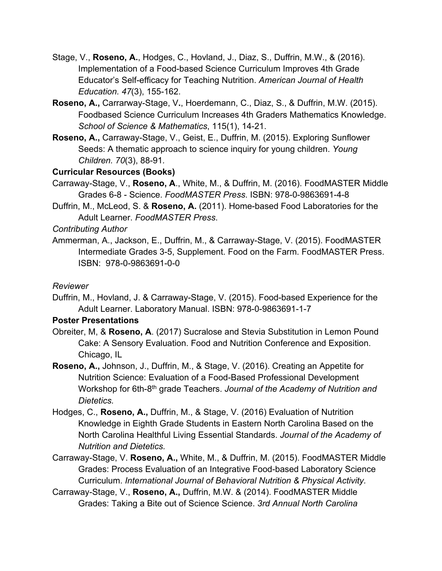- Stage, V., **Roseno, A.**, Hodges, C., Hovland, J., Diaz, S., Duffrin, M.W., & (2016). Implementation of a Food-based Science Curriculum Improves 4th Grade Educator's Self-efficacy for Teaching Nutrition. *American Journal of Health Education. 47*(3), 155-162.
- **Roseno, A.,** Carrarway-Stage, V**.**, Hoerdemann, C., Diaz, S., & Duffrin, M.W. (2015). Foodbased Science Curriculum Increases 4th Graders Mathematics Knowledge. *School of Science & Mathematics*, 115(1), 14-21.
- **Roseno, A.,** Carraway-Stage, V., Geist, E., Duffrin, M. (2015). Exploring Sunflower Seeds: A thematic approach to science inquiry for young children. *Young Children. 70*(3), 88-91*.*

#### **Curricular Resources (Books)**

- Carraway-Stage, V., **Roseno, A**., White, M., & Duffrin, M. (2016). FoodMASTER Middle Grades 6-8 - Science. *FoodMASTER Press*. ISBN: 978-0-9863691-4-8
- Duffrin, M., McLeod, S. & **Roseno, A.** (2011). Home-based Food Laboratories for the Adult Learner. *FoodMASTER Press*.

*Contributing Author*

Ammerman, A., Jackson, E., Duffrin, M., & Carraway-Stage, V. (2015). FoodMASTER Intermediate Grades 3-5, Supplement. Food on the Farm. FoodMASTER Press. ISBN: 978-0-9863691-0-0

#### *Reviewer*

Duffrin, M., Hovland, J. & Carraway-Stage, V. (2015). Food-based Experience for the Adult Learner. Laboratory Manual. ISBN: 978-0-9863691-1-7

#### **Poster Presentations**

- Obreiter, M, & **Roseno, A**. (2017) Sucralose and Stevia Substitution in Lemon Pound Cake: A Sensory Evaluation. Food and Nutrition Conference and Exposition. Chicago, IL
- **Roseno, A.,** Johnson, J., Duffrin, M., & Stage, V. (2016). Creating an Appetite for Nutrition Science: Evaluation of a Food-Based Professional Development Workshop for 6th-8th grade Teachers. *Journal of the Academy of Nutrition and Dietetics.*
- Hodges, C., **Roseno, A.,** Duffrin, M., & Stage, V. (2016) Evaluation of Nutrition Knowledge in Eighth Grade Students in Eastern North Carolina Based on the North Carolina Healthful Living Essential Standards. *Journal of the Academy of Nutrition and Dietetics.*
- Carraway-Stage, V. **Roseno, A.,** White, M., & Duffrin, M. (2015). FoodMASTER Middle Grades: Process Evaluation of an Integrative Food-based Laboratory Science Curriculum. *International Journal of Behavioral Nutrition & Physical Activity.*
- Carraway-Stage, V., **Roseno, A.,** Duffrin, M.W. & (2014). FoodMASTER Middle Grades: Taking a Bite out of Science Science. *3rd Annual North Carolina*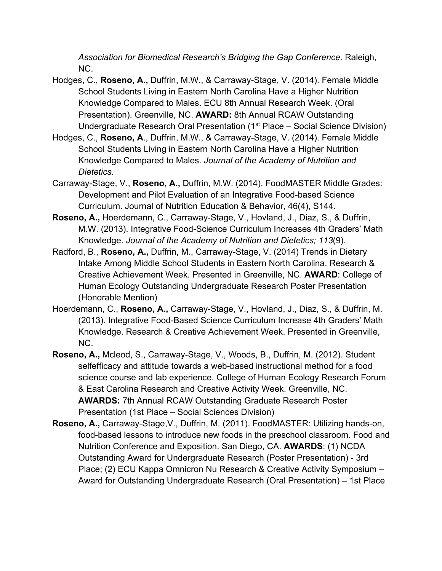*Association for Biomedical Research's Bridging the Gap Conference*. Raleigh, NC.

- Hodges, C., **Roseno, A.,** Duffrin, M.W., & Carraway-Stage, V. (2014). Female Middle School Students Living in Eastern North Carolina Have a Higher Nutrition Knowledge Compared to Males. ECU 8th Annual Research Week. (Oral Presentation). Greenville, NC. **AWARD:** 8th Annual RCAW Outstanding Undergraduate Research Oral Presentation (1<sup>st</sup> Place – Social Science Division)
- Hodges, C., **Roseno, A**., Duffrin, M.W., & Carraway-Stage, V. (2014). Female Middle School Students Living in Eastern North Carolina Have a Higher Nutrition Knowledge Compared to Males. *Journal of the Academy of Nutrition and Dietetics.*
- Carraway-Stage, V., **Roseno, A.,** Duffrin, M.W. (2014). FoodMASTER Middle Grades: Development and Pilot Evaluation of an Integrative Food-based Science Curriculum. Journal of Nutrition Education & Behavior, 46(4), S144.
- **Roseno, A.,** Hoerdemann, C., Carraway-Stage, V., Hovland, J., Diaz, S., & Duffrin, M.W. (2013). Integrative Food-Science Curriculum Increases 4th Graders' Math Knowledge. *Journal of the Academy of Nutrition and Dietetics; 113*(9).
- Radford, B., **Roseno, A.,** Duffrin, M., Carraway-Stage, V. (2014) Trends in Dietary Intake Among Middle School Students in Eastern North Carolina. Research & Creative Achievement Week. Presented in Greenville, NC. **AWARD**: College of Human Ecology Outstanding Undergraduate Research Poster Presentation (Honorable Mention)
- Hoerdemann, C., **Roseno, A.,** Carraway-Stage, V., Hovland, J., Diaz, S., & Duffrin, M. (2013). Integrative Food-Based Science Curriculum Increase 4th Graders' Math Knowledge. Research & Creative Achievement Week. Presented in Greenville, NC.
- **Roseno, A.,** Mcleod, S., Carraway-Stage, V., Woods, B., Duffrin, M. (2012). Student selfefficacy and attitude towards a web-based instructional method for a food science course and lab experience. College of Human Ecology Research Forum & East Carolina Research and Creative Activity Week. Greenville, NC. **AWARDS:** 7th Annual RCAW Outstanding Graduate Research Poster Presentation (1st Place – Social Sciences Division)
- **Roseno, A.,** Carraway-Stage,V., Duffrin, M. (2011). FoodMASTER: Utilizing hands-on, food-based lessons to introduce new foods in the preschool classroom. Food and Nutrition Conference and Exposition. San Diego, CA. **AWARDS**: (1) NCDA Outstanding Award for Undergraduate Research (Poster Presentation) - 3rd Place; (2) ECU Kappa Omnicron Nu Research & Creative Activity Symposium – Award for Outstanding Undergraduate Research (Oral Presentation) – 1st Place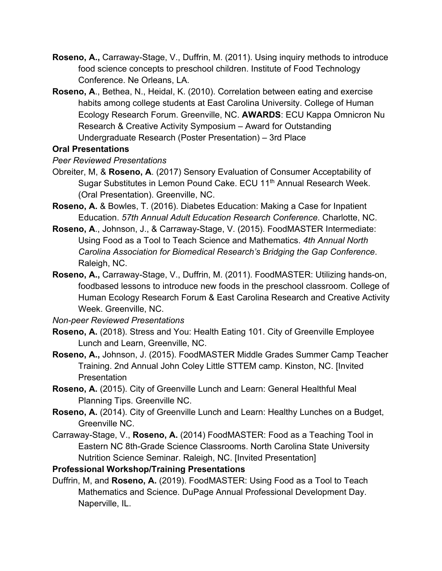- **Roseno, A.,** Carraway-Stage, V., Duffrin, M. (2011). Using inquiry methods to introduce food science concepts to preschool children. Institute of Food Technology Conference. Ne Orleans, LA.
- **Roseno, A**., Bethea, N., Heidal, K. (2010). Correlation between eating and exercise habits among college students at East Carolina University. College of Human Ecology Research Forum. Greenville, NC. **AWARDS**: ECU Kappa Omnicron Nu Research & Creative Activity Symposium – Award for Outstanding Undergraduate Research (Poster Presentation) – 3rd Place

#### **Oral Presentations**

*Peer Reviewed Presentations*

- Obreiter, M, & **Roseno, A**. (2017) Sensory Evaluation of Consumer Acceptability of Sugar Substitutes in Lemon Pound Cake. ECU 11<sup>th</sup> Annual Research Week. (Oral Presentation). Greenville, NC.
- **Roseno, A.** & Bowles, T. (2016). Diabetes Education: Making a Case for Inpatient Education. *57th Annual Adult Education Research Conference*. Charlotte, NC.
- **Roseno, A**., Johnson, J., & Carraway-Stage, V. (2015). FoodMASTER Intermediate: Using Food as a Tool to Teach Science and Mathematics. *4th Annual North Carolina Association for Biomedical Research's Bridging the Gap Conference*. Raleigh, NC.
- **Roseno, A.,** Carraway-Stage, V., Duffrin, M. (2011). FoodMASTER: Utilizing hands-on, foodbased lessons to introduce new foods in the preschool classroom. College of Human Ecology Research Forum & East Carolina Research and Creative Activity Week. Greenville, NC.

*Non-peer Reviewed Presentations*

- **Roseno, A.** (2018). Stress and You: Health Eating 101. City of Greenville Employee Lunch and Learn, Greenville, NC.
- **Roseno, A.,** Johnson, J. (2015). FoodMASTER Middle Grades Summer Camp Teacher Training. 2nd Annual John Coley Little STTEM camp. Kinston, NC. [Invited Presentation
- **Roseno, A.** (2015). City of Greenville Lunch and Learn: General Healthful Meal Planning Tips. Greenville NC.
- **Roseno, A.** (2014). City of Greenville Lunch and Learn: Healthy Lunches on a Budget, Greenville NC.
- Carraway-Stage, V., **Roseno, A.** (2014) FoodMASTER: Food as a Teaching Tool in Eastern NC 8th-Grade Science Classrooms. North Carolina State University Nutrition Science Seminar. Raleigh, NC. [Invited Presentation]

### **Professional Workshop/Training Presentations**

Duffrin, M, and **Roseno, A.** (2019). FoodMASTER: Using Food as a Tool to Teach Mathematics and Science. DuPage Annual Professional Development Day. Naperville, IL.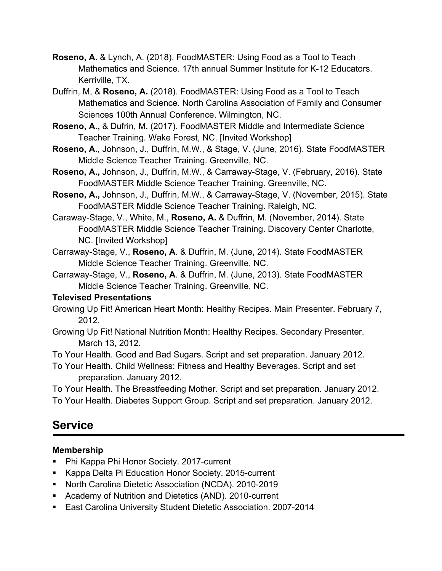- **Roseno, A.** & Lynch, A. (2018). FoodMASTER: Using Food as a Tool to Teach Mathematics and Science. 17th annual Summer Institute for K-12 Educators. Kerriville, TX.
- Duffrin, M, & **Roseno, A.** (2018). FoodMASTER: Using Food as a Tool to Teach Mathematics and Science. North Carolina Association of Family and Consumer Sciences 100th Annual Conference. Wilmington, NC.
- **Roseno, A.,** & Dufrin, M. (2017). FoodMASTER Middle and Intermediate Science Teacher Training. Wake Forest, NC. [Invited Workshop]
- **Roseno, A.**, Johnson, J., Duffrin, M.W., & Stage, V. (June, 2016). State FoodMASTER Middle Science Teacher Training. Greenville, NC.
- **Roseno, A.,** Johnson, J., Duffrin, M.W., & Carraway-Stage, V. (February, 2016). State FoodMASTER Middle Science Teacher Training. Greenville, NC.
- **Roseno, A.,** Johnson, J., Duffrin, M.W., & Carraway-Stage, V. (November, 2015). State FoodMASTER Middle Science Teacher Training. Raleigh, NC.
- Caraway-Stage, V., White, M., **Roseno, A.** & Duffrin, M. (November, 2014). State FoodMASTER Middle Science Teacher Training. Discovery Center Charlotte, NC. [Invited Workshop]
- Carraway-Stage, V., **Roseno, A**. & Duffrin, M. (June, 2014). State FoodMASTER Middle Science Teacher Training. Greenville, NC.
- Carraway-Stage, V., **Roseno, A**. & Duffrin, M. (June, 2013). State FoodMASTER Middle Science Teacher Training. Greenville, NC.

#### **Televised Presentations**

- Growing Up Fit! American Heart Month: Healthy Recipes. Main Presenter. February 7, 2012.
- Growing Up Fit! National Nutrition Month: Healthy Recipes. Secondary Presenter. March 13, 2012.
- To Your Health. Good and Bad Sugars. Script and set preparation. January 2012.
- To Your Health. Child Wellness: Fitness and Healthy Beverages. Script and set preparation. January 2012.

To Your Health. The Breastfeeding Mother. Script and set preparation. January 2012. To Your Health. Diabetes Support Group. Script and set preparation. January 2012.

# **Service**

## **Membership**

- Phi Kappa Phi Honor Society. 2017-current
- Kappa Delta Pi Education Honor Society. 2015-current
- § North Carolina Dietetic Association (NCDA). 2010-2019
- Academy of Nutrition and Dietetics (AND). 2010-current
- East Carolina University Student Dietetic Association. 2007-2014